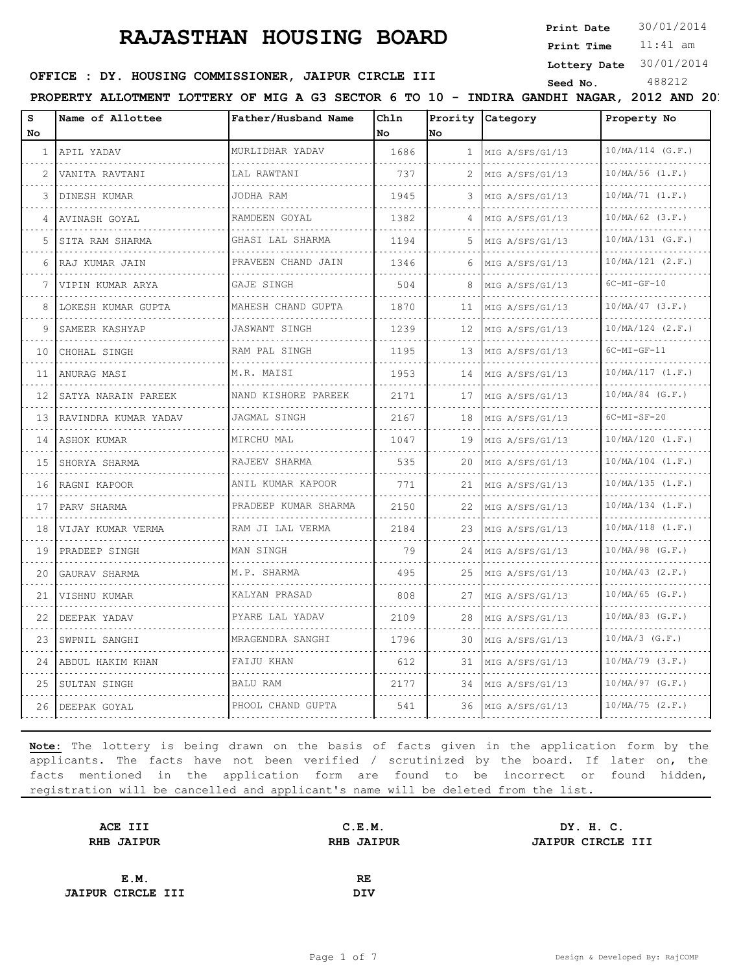**Print Date**  $30/01/2014$ 

11:41 am **Print Time**

**Lottery Date** 30/01/2014

# **OFFICE : DY. HOUSING COMMISSIONER, JAIPUR CIRCLE III** Seed No. 488212

**PROPERTY ALLOTMENT LOTTERY OF MIG A G3 SECTOR 6 TO 10 - INDIRA GANDHI NAGAR, 2012 AND 2013** 

| s<br>No | Name of Allottee        | Father/Husband Name            | Chln<br>No | Prority<br>lNo. | Category             | Property No              |
|---------|-------------------------|--------------------------------|------------|-----------------|----------------------|--------------------------|
| 1       | APIL YADAV              | MURLIDHAR YADAV                | 1686       | 1               | MIG A/SFS/G1/13      | $10/MA/114$ (G.F.)       |
| 2       | VANITA RAVTANI          | LAL RAWTANI                    | 737        | 2               | .<br>MIG A/SFS/G1/13 | .<br>$10/MA/56$ $(1.F.)$ |
| 3       | DINESH KUMAR            | JODHA RAM                      | 1945       | 3               | MIG A/SFS/G1/13      | 10/MA/71 (1.F.)          |
| 4       | AVINASH GOYAL           | RAMDEEN GOYAL                  | 1382       | 4               | MIG A/SFS/G1/13      | $10/MA/62$ (3.F.)        |
| 5       | .<br>SITA RAM SHARMA    | .<br>GHASI LAL SHARMA          | 1194       | 5               | .<br>MIG A/SFS/G1/13 | .<br>$10/MA/131$ (G.F.)  |
| 6       | .<br> RAJ KUMAR JAIN    | <u>.</u><br>PRAVEEN CHAND JAIN | 1346       | 6               | MIG A/SFS/G1/13      | $10/MA/121$ $(2.F.)$     |
| 7       | VIPIN KUMAR ARYA        | GAJE SINGH                     | 504        | 8               | MIG A/SFS/G1/13      | $6C-MI-GF-10$            |
| 8       | .<br>LOKESH KUMAR GUPTA | MAHESH CHAND GUPTA             | 1870       | 11              | MIG A/SFS/G1/13      | $10/MA/47$ (3.F.)        |
| 9       | SAMEER KASHYAP          | .<br>JASWANT SINGH             | 1239       | 12              | MIG A/SFS/G1/13      | $10/MA/124$ $(2.F.)$     |
| 10      | CHOHAL SINGH            | RAM PAL SINGH<br>.             | 1195       | 13              | MIG A/SFS/G1/13      | $6C-MI-GF-11$            |
| 11      | ANURAG MASI             | M.R. MAISI                     | 1953       | 14              | MIG A/SFS/G1/13      | 10/MA/117 (1.F.)         |
| 12      | SATYA NARAIN PAREEK     | NAND KISHORE PAREEK            | 2171       | 17              | MIG A/SFS/G1/13      | $10/MA/84$ (G.F.)        |
| 13      | RAVINDRA KUMAR YADAV    | JAGMAL SINGH                   | 2167       | 18              | MIG A/SFS/G1/13<br>. | $6C-MI-SF-20$            |
| 14      | ASHOK KUMAR             | MIRCHU MAL                     | 1047       | 19              | MIG A/SFS/G1/13      | 10/MA/120 (1.F.)         |
| 1.5     | SHORYA SHARMA           | RAJEEV SHARMA                  | 535        | 20              | MIG A/SFS/G1/13      | $10/MA/104$ $(1.F.)$     |
| 16      | RAGNI KAPOOR            | ANIL KUMAR KAPOOR<br>.         | 771        | 21              | MIG A/SFS/G1/13      | 10/MA/135 (1.F.)         |
| 17      | PARV SHARMA             | PRADEEP KUMAR SHARMA           | 2150       | 22              | MIG A/SFS/G1/13      | $10/MA/134$ $(1.F.)$     |
| 18      | VIJAY KUMAR VERMA       | RAM JI LAL VERMA<br>.          | 2184       | 23              | MIG A/SFS/G1/13      | $10/MA/118$ $(1.F.)$     |
| 19      | PRADEEP SINGH           | MAN SINGH                      | 79         | 24              | MIG A/SFS/G1/13      | $10/MA/98$ (G.F.)        |
| 20      | GAURAV SHARMA           | M.P. SHARMA                    | 495        | 25              | MIG A/SFS/G1/13      | $10/MA/43$ $(2.F.)$      |
| 21      | VISHNU KUMAR            | KALYAN PRASAD                  | 808        | 27              | MIG A/SFS/G1/13      | $10/MA/65$ (G.F.)        |
| 22      | DEEPAK YADAV            | PYARE LAL YADAV                | 2109       | 28              | MIG A/SFS/G1/13      | $10/MA/83$ (G.F.)        |
| 23      | SWPNIL SANGHI           | MRAGENDRA SANGHI               | 1796       | 30              | MIG A/SFS/G1/13      | $10/MA/3$ (G.F.)         |
| 24      | ABDUL HAKIM KHAN        | FAIJU KHAN                     | 612        | 31              | MIG A/SFS/G1/13      | $10/MA/79$ $(3.F.)$      |
| 25      | SULTAN SINGH            | BALU RAM                       | 2177       | 34              | MIG A/SFS/G1/13      | $10/MA/97$ (G.F.)        |
|         | 26 DEEPAK GOYAL         | PHOOL CHAND GUPTA              | 541        | 36              | MIG A/SFS/G1/13      | $10/MA/75$ $(2.F.)$      |

| ACE III                  | C.E.M.            | DY. H. C.                |
|--------------------------|-------------------|--------------------------|
| <b>RHB JAIPUR</b>        | <b>RHB JAIPUR</b> | <b>JAIPUR CIRCLE III</b> |
|                          |                   |                          |
| E.M.                     | RE                |                          |
| <b>JAIPUR CIRCLE III</b> | <b>DIV</b>        |                          |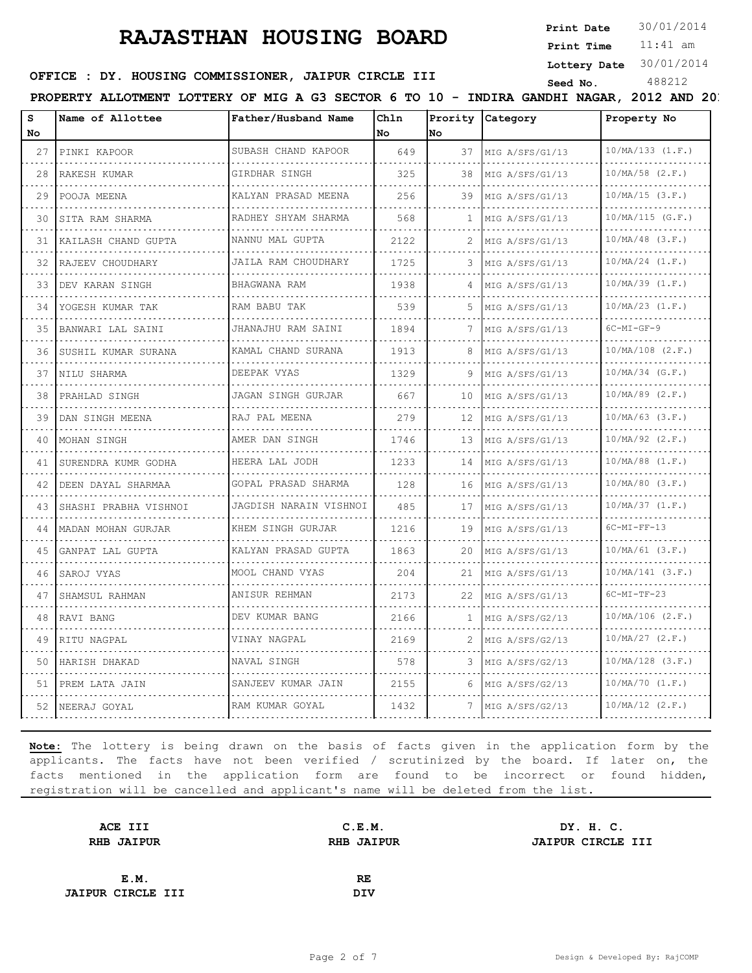**Print Date**  $30/01/2014$ 

11:41 am **Print Time**

# **OFFICE : DY. HOUSING COMMISSIONER, JAIPUR CIRCLE III** Seed No. 488212

**Lottery Date** 30/01/2014

**PROPERTY ALLOTMENT LOTTERY OF MIG A G3 SECTOR 6 TO 10 - INDIRA GANDHI NAGAR, 2012 AND 2013** 

| s<br>No | Name of Allottee      | Father/Husband Name                   | Chln<br>No. | lNo.         | Prority Category     | Property No              |
|---------|-----------------------|---------------------------------------|-------------|--------------|----------------------|--------------------------|
| 27      | PINKI KAPOOR          | SUBASH CHAND KAPOOR                   | 649         | 37           | MIG A/SFS/G1/13      | 10/MA/133 (1.F.)         |
| 28      | .<br>RAKESH KUMAR     | GIRDHAR SINGH                         | 325         | 38           | .<br>MIG A/SFS/G1/13 | .<br>$10/MA/58$ $(2.F.)$ |
| 29      | POOJA MEENA           | KALYAN PRASAD MEENA                   | 256         | 39           | MIG A/SFS/G1/13      | $10/MA/15$ (3.F.)        |
| 30      | SITA RAM SHARMA       | RADHEY SHYAM SHARMA                   | 568         | $\mathbf{1}$ | MIG A/SFS/G1/13      | $10/MA/115$ (G.F.)       |
| 31      | KAILASH CHAND GUPTA   | NANNU MAL GUPTA                       | 2122        |              | .<br>MIG A/SFS/G1/13 | $10/MA/48$ (3.F.)        |
| 32      | RAJEEV CHOUDHARY      | JAILA RAM CHOUDHARY<br>.              | 1725        | 3            | MIG A/SFS/G1/13      | $10/MA/24$ $(1.F.)$      |
| 33      | DEV KARAN SINGH       | BHAGWANA RAM                          | 1938        | 4            | MIG A/SFS/G1/13      | $10/MA/39$ $(1.F.)$      |
| 34      | YOGESH KUMAR TAK      | RAM BABU TAK                          | 539         | 5            | MIG A/SFS/G1/13      | $10/MA/23$ $(1.F.)$      |
| 35      | BANWARI LAL SAINI     | JHANAJHU RAM SAINI                    | 1894        | 7            | MIG A/SFS/G1/13      | $6C-MI-GF-9$             |
| 36      | SUSHIL KUMAR SURANA   | KAMAL CHAND SURANA                    | 1913        | 8            | MIG A/SFS/G1/13      | $10/MA/108$ $(2.F.)$     |
| 37      | NILU SHARMA           | DEEPAK VYAS                           | 1329        | 9            | MIG A/SFS/G1/13      | $10/MA/34$ (G.F.)        |
| 38      | PRAHLAD SINGH         | JAGAN SINGH GURJAR                    | 667         | 10           | MIG A/SFS/G1/13      | $10/MA/89$ $(2.F.)$<br>. |
| 39      | DAN SINGH MEENA       | RAJ PAL MEENA                         | 279         | 12           | MIG A/SFS/G1/13      | $10/MA/63$ $(3.F.)$      |
| 40      | MOHAN SINGH           | AMER DAN SINGH                        | 1746        | 13           | MIG A/SFS/G1/13      | $10/MA/92$ $(2.F.)$      |
| 41      | SURENDRA KUMR GODHA   | HEERA LAL JODH<br>.                   | 1233        | 14           | MIG A/SFS/G1/13      | $10/MA/88$ $(1.F.)$<br>. |
| 42      | DEEN DAYAL SHARMAA    | GOPAL PRASAD SHARMA                   | 128         | 16           | MIG A/SFS/G1/13      | $10/MA/80$ (3.F.)        |
| 43      | SHASHI PRABHA VISHNOI | JAGDISH NARAIN VISHNOI                | 485         | 17           | MIG A/SFS/G1/13      | $10/MA/37$ $(1.F.)$      |
| 44      | MADAN MOHAN GURJAR    | KHEM SINGH GURJAR<br>.                | 1216        | 19           | MIG A/SFS/G1/13      | $6C-MI-FF-13$            |
| 4.5     | GANPAT LAL GUPTA      | KALYAN PRASAD GUPTA                   | 1863        | 20           | MIG A/SFS/G1/13      | $10/MA/61$ (3.F.)        |
| 46      | SAROJ VYAS            | MOOL CHAND VYAS                       | 204         | 21           | MIG A/SFS/G1/13      | $10/MA/141$ (3.F.)       |
| 47      | SHAMSUL RAHMAN        | ANISUR REHMAN<br>and a strategic con- | 2173        | 22           | MIG A/SFS/G1/13      | $6C-MI-TF-23$            |
| 48      | RAVI BANG             | DEV KUMAR BANG                        | 2166        | 1            | MIG A/SFS/G2/13      | $10/MA/106$ $(2.F.)$     |
| 49      | RITU NAGPAL           | VINAY NAGPAL                          | 2169        | 2            | MIG A/SFS/G2/13      | $10/MA/27$ $(2.F.)$      |
| 50      | HARISH DHAKAD         | NAVAL SINGH                           | 578         |              | MIG A/SFS/G2/13      | $10/MA/128$ (3.F.)       |
| 51      | PREM LATA JAIN        | SANJEEV KUMAR JAIN                    | 2155        | 6            | MIG A/SFS/G2/13      | $10/MA/70$ $(1.F.)$      |
|         | 52   NEERAJ GOYAL     | RAM KUMAR GOYAL                       | 1432        | 7            | MIG A/SFS/G2/13      | $10/MA/12$ $(2.F.)$      |

| ACE III                  | C.E.M.            | DY. H. C.                |
|--------------------------|-------------------|--------------------------|
| <b>RHB JAIPUR</b>        | <b>RHB JAIPUR</b> | <b>JAIPUR CIRCLE III</b> |
|                          |                   |                          |
| E.M.                     | RE                |                          |
| <b>JAIPUR CIRCLE III</b> | <b>DIV</b>        |                          |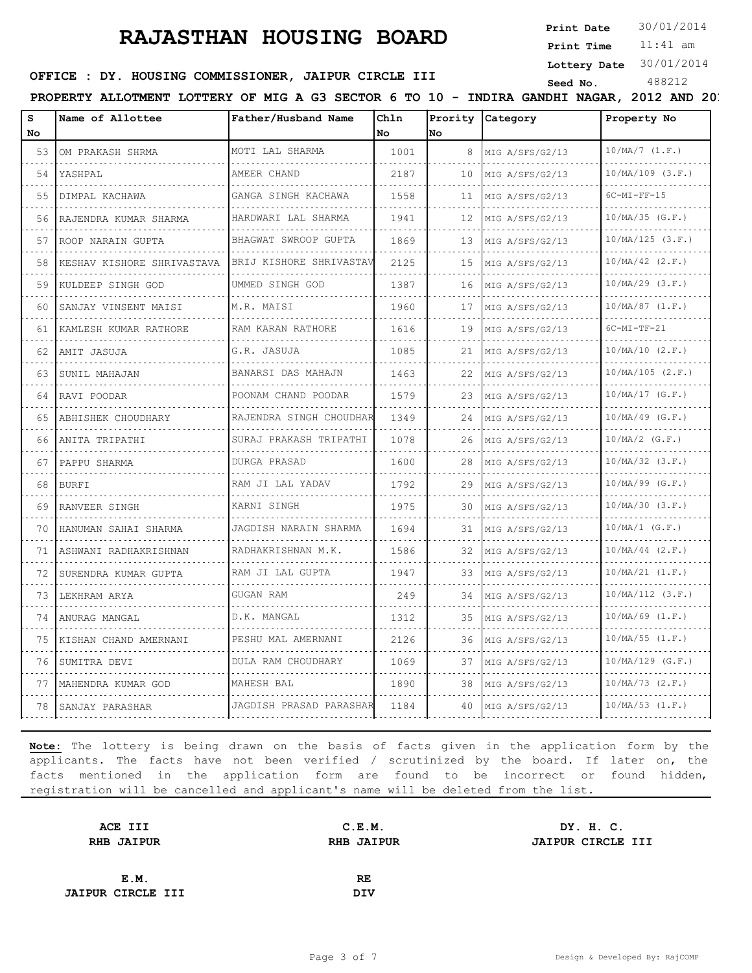**Print Date**  $30/01/2014$ 

11:41 am **Print Time Lottery Date** 30/01/2014

# **SEED OFFICE : DY. HOUSING COMMISSIONER, JAIPUR CIRCLE III** Seed No. 488212

**PROPERTY ALLOTMENT LOTTERY OF MIG A G3 SECTOR 6 TO 10 - INDIRA GANDHI NAGAR, 2012 AND 2013, JAIPUR**

| s  | Name of Allottee           | Father/Husband Name      | Chln |     | Prority Category     | Property No              |
|----|----------------------------|--------------------------|------|-----|----------------------|--------------------------|
| No |                            |                          | No   | lNo |                      |                          |
| 53 | OM PRAKASH SHRMA           | MOTI LAL SHARMA          | 1001 | 8   | MIG A/SFS/G2/13      | $10/MA/7$ $(1.F.)$       |
| 54 | YASHPAL                    | AMEER CHAND              | 2187 | 10  | MIG A/SFS/G2/13      | $10/MA/109$ $(3.F.)$     |
| 55 | DIMPAL KACHAWA             | GANGA SINGH KACHAWA      | 1558 | 11  | MIG A/SFS/G2/13<br>. | $6C-MI-FF-15$            |
| 56 | RAJENDRA KUMAR SHARMA      | HARDWARI LAL SHARMA<br>. | 1941 | 12  | MIG A/SFS/G2/13      | $10/MA/35$ (G.F.)        |
| 57 | ROOP NARAIN GUPTA          | BHAGWAT SWROOP GUPTA     | 1869 | 13  | MIG A/SFS/G2/13      | 10/MA/125 (3.F.)         |
| 58 | KESHAV KISHORE SHRIVASTAVA | BRIJ KISHORE SHRIVASTAV  | 2125 | 15  | MIG A/SFS/G2/13      | $10/MA/42$ (2.F.)<br>.   |
| 59 | KULDEEP SINGH GOD          | UMMED SINGH GOD          | 1387 | 16  | MIG A/SFS/G2/13      | $10/MA/29$ (3.F.)        |
| 60 | SANJAY VINSENT MAISI       | M.R. MAISI               | 1960 | 17  | MIG A/SFS/G2/13      | $10/MA/87$ $(1.F.)$      |
| 61 | KAMLESH KUMAR RATHORE      | RAM KARAN RATHORE        | 1616 | 19  | MIG A/SFS/G2/13      | $6C-MI-TF-21$            |
| 62 | AMIT JASUJA                | G.R. JASUJA              | 1085 | 21  | MIG A/SFS/G2/13      | 10/MA/10 (2.F.)          |
| 63 | SUNIL MAHAJAN              | BANARSI DAS MAHAJN       | 1463 | 22  | MIG A/SFS/G2/13      | 10/MA/105 (2.F.)         |
| 64 | RAVI POODAR                | POONAM CHAND POODAR      | 1579 | 23  | MIG A/SFS/G2/13<br>. | $10/MA/17$ (G.F.)<br>.   |
| 65 | ABHISHEK CHOUDHARY         | RAJENDRA SINGH CHOUDHAR  | 1349 | 24  | MIG A/SFS/G2/13      | $10/MA/49$ (G.F.)        |
| 66 | ANITA TRIPATHI             | SURAJ PRAKASH TRIPATHI   | 1078 | 26  | MIG A/SFS/G2/13      | $10/MA/2$ (G.F.)         |
| 67 | PAPPU SHARMA               | <b>DURGA PRASAD</b><br>. | 1600 | 28  | MIG A/SFS/G2/13      | $10/MA/32$ $(3.F.)$<br>. |
| 68 | <b>BURFI</b>               | RAM JI LAL YADAV         | 1792 | 29  | MIG A/SFS/G2/13<br>. | $10/MA/99$ (G.F.)        |
| 69 | RANVEER SINGH              | KARNI SINGH              | 1975 | 30  | MIG A/SFS/G2/13      | $10/MA/30$ $(3.F.)$      |
| 70 | HANUMAN SAHAI SHARMA       | JAGDISH NARAIN SHARMA    | 1694 | 31  | MIG A/SFS/G2/13      | $10/MA/1$ (G.F.)         |
| 71 | ASHWANI RADHAKRISHNAN      | RADHAKRISHNAN M.K.       | 1586 | 32  | MIG A/SFS/G2/13      | $10/MA/44$ (2.F.)        |
| 72 | SURENDRA KUMAR GUPTA       | RAM JI LAL GUPTA         | 1947 | 33  | MIG A/SFS/G2/13      | $10/MA/21$ $(1.F.)$      |
| 73 | LEKHRAM ARYA               | GUGAN RAM                | 249  | 34  | MIG A/SFS/G2/13      | 10/MA/112 (3.F.)         |
| 74 | ANURAG MANGAL              | D.K. MANGAL              | 1312 | 35  | MIG A/SFS/G2/13      | $10/MA/69$ $(1.F.)$      |
| 75 | KISHAN CHAND AMERNANI      | PESHU MAL AMERNANI       | 2126 | 36  | MIG A/SFS/G2/13      | $10/MA/55$ $(1.F.)$      |
| 76 | SUMITRA DEVI               | DULA RAM CHOUDHARY       | 1069 | 37  | MIG A/SFS/G2/13      | $10/MA/129$ (G.F.)       |
| 77 | MAHENDRA KUMAR GOD         | MAHESH BAL               | 1890 | 38  | MIG A/SFS/G2/13      | $10/MA/73$ $(2.F.)$      |
| 78 | SANJAY PARASHAR            | JAGDISH PRASAD PARASHAR  | 1184 | 40  | MIG A/SFS/G2/13      | $10/MA/53$ $(1.F.)$      |

| C.E.M.            | DY. H. C.                |
|-------------------|--------------------------|
| <b>RHB JAIPUR</b> | <b>JAIPUR CIRCLE III</b> |
|                   |                          |
| RE                |                          |
| <b>DIV</b>        |                          |
|                   |                          |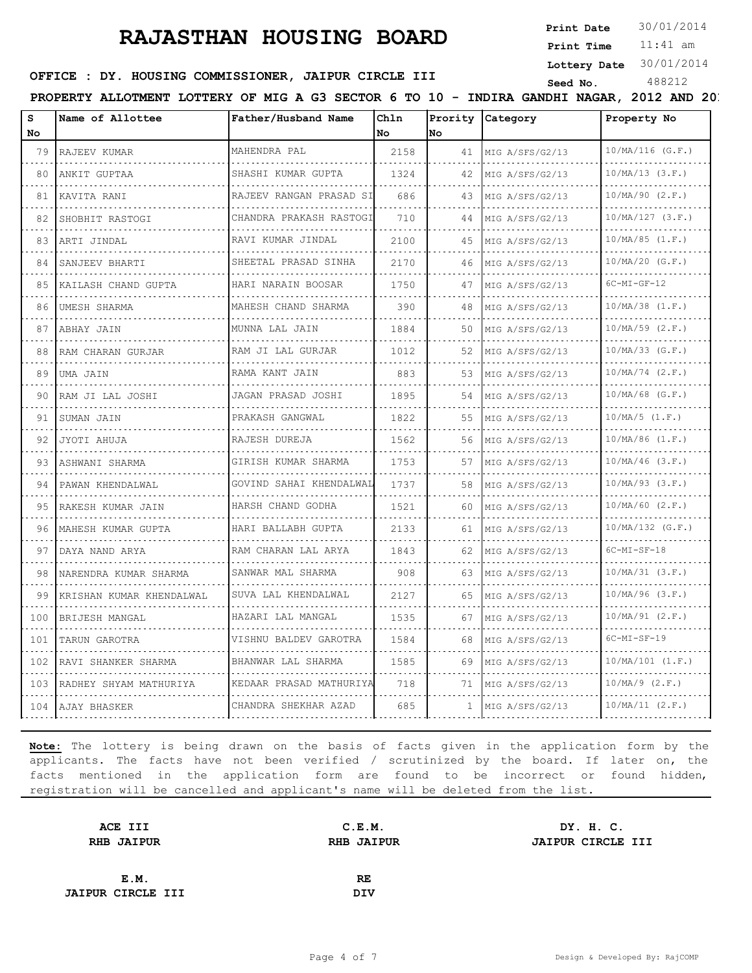**Print Date**  $30/01/2014$ 

11:41 am **Print Time Lottery Date** 30/01/2014

#### **SEED AND SEED III SEED ASSESSED ASSESSED ASSESSING COMMISSIONER, JAIPUR CIRCLE III** Seed No. 488212

**PROPERTY ALLOTMENT LOTTERY OF MIG A G3 SECTOR 6 TO 10 - INDIRA GANDHI NAGAR, 2012 AND 20.** 

| s        | Name of Allottee         | Father/Husband Name          | Chln |              | Prority Category     | Property No          |
|----------|--------------------------|------------------------------|------|--------------|----------------------|----------------------|
| No.      |                          |                              | No   | <b>No</b>    |                      |                      |
| 79       | RAJEEV KUMAR             | MAHENDRA PAL                 | 2158 |              | 41 MIG A/SFS/G2/13   | $10/MA/116$ (G.F.)   |
| 80       | ANKIT GUPTAA             | SHASHI KUMAR GUPTA<br>.      | 1324 | 42           | MIG A/SFS/G2/13      | $10/MA/13$ $(3.F.)$  |
| 81       | KAVITA RANI              | RAJEEV RANGAN PRASAD SI      | 686  | 43           | MIG A/SFS/G2/13      | $10/MA/90$ $(2.F.)$  |
| 82       | SHOBHIT RASTOGI          | CHANDRA PRAKASH RASTOGI      | 710  | 44           | MIG A/SFS/G2/13      | $10/MA/127$ (3.F.)   |
| 83       | ARTI JINDAL              | RAVI KUMAR JINDAL            | 2100 | 45           | MIG A/SFS/G2/13      | $10/MA/85$ $(1.F.)$  |
| 84       | SANJEEV BHARTI           | SHEETAL PRASAD SINHA         | 2170 | 46           | MIG A/SFS/G2/13      | $10/MA/20$ (G.F.)    |
| 85       | KAILASH CHAND GUPTA      | HARI NARAIN BOOSAR           | 1750 | 47           | MIG A/SFS/G2/13      | $6C-MI-GF-12$        |
| 86       | UMESH SHARMA<br>.        | MAHESH CHAND SHARMA<br>.     | 390  | 48           | MIG A/SFS/G2/13      | $10/MA/38$ $(1.F.)$  |
| 87       | ABHAY JAIN               | MUNNA LAL JAIN               | 1884 | 50           | MIG A/SFS/G2/13      | $10/MA/59$ (2.F.)    |
| 88       | RAM CHARAN GURJAR        | RAM JI LAL GURJAR            | 1012 | 52           | MIG A/SFS/G2/13      | $10/MA/33$ (G.F.)    |
| 89       | UMA JAIN                 | RAMA KANT JAIN               | 883  | 53           | MIG A/SFS/G2/13      | $10/MA/74$ $(2.F.)$  |
| 90       | RAM JI LAL JOSHI         | JAGAN PRASAD JOSHI           | 1895 | 54           | MIG A/SFS/G2/13<br>. | $10/MA/68$ (G.F.)    |
| 91       | SUMAN JAIN               | PRAKASH GANGWAL              | 1822 | 55           | MIG A/SFS/G2/13      | $10/MA/5$ $(1.F.)$   |
| 92       | JYOTI AHUJA              | RAJESH DUREJA                | 1562 | 56           | MIG A/SFS/G2/13      | $10/MA/86$ $(1.F.)$  |
| 93       | ASHWANI SHARMA           | GIRISH KUMAR SHARMA          | 1753 | 57           | MIG A/SFS/G2/13      | $10/MA/46$ (3.F.)    |
| 94       | PAWAN KHENDALWAL         | GOVIND SAHAI KHENDALWAL<br>. | 1737 | 58           | MIG A/SFS/G2/13      | $10/MA/93$ (3.F.)    |
| 95       | RAKESH KUMAR JAIN        | HARSH CHAND GODHA            | 1521 | 60.          | MIG A/SFS/G2/13      | $10/MA/60$ $(2.F.)$  |
| 96       | MAHESH KUMAR GUPTA       | HARI BALLABH GUPTA           | 2133 | 61           | MIG A/SFS/G2/13      | $10/MA/132$ (G.F.)   |
| 97       | DAYA NAND ARYA<br>.      | RAM CHARAN LAL ARYA<br>.     | 1843 | 62           | MIG A/SFS/G2/13      | $6C-MI-SF-18$        |
| 98       | NARENDRA KUMAR SHARMA    | SANWAR MAL SHARMA            | 908  | 63           | MIG A/SFS/G2/13      | $10/MA/31$ $(3.F.)$  |
| 99       | KRISHAN KUMAR KHENDALWAL | SUVA LAL KHENDALWAL          | 2127 | 65           | MIG A/SFS/G2/13      | $10/MA/96$ (3.F.)    |
| 100      | BRIJESH MANGAL           | HAZARI LAL MANGAL            | 1535 | 67           | MIG A/SFS/G2/13      | $10/MA/91$ (2.F.)    |
| 101      | TARUN GAROTRA            | VISHNU BALDEV GAROTRA        | 1584 | 68           | MIG A/SFS/G2/13      | $6C-MI-SF-19$        |
| 102<br>. | RAVI SHANKER SHARMA      | BHANWAR LAL SHARMA           | 1585 | 69           | MIG A/SFS/G2/13      | $10/MA/101$ $(1.F.)$ |
| 103      | RADHEY SHYAM MATHURIYA   | KEDAAR PRASAD MATHURIYA      | 718  | 71           | MIG A/SFS/G2/13      | $10/MA/9$ (2.F.)     |
|          | 104   AJAY BHASKER       | CHANDRA SHEKHAR AZAD         | 685  | $\mathbf{1}$ | MIG A/SFS/G2/13      | $10/MA/11$ (2.F.)    |

| C.E.M.            | DY. H. C.                |
|-------------------|--------------------------|
| <b>RHB JAIPUR</b> | <b>JAIPUR CIRCLE III</b> |
|                   |                          |
| RE                |                          |
| <b>DIV</b>        |                          |
|                   |                          |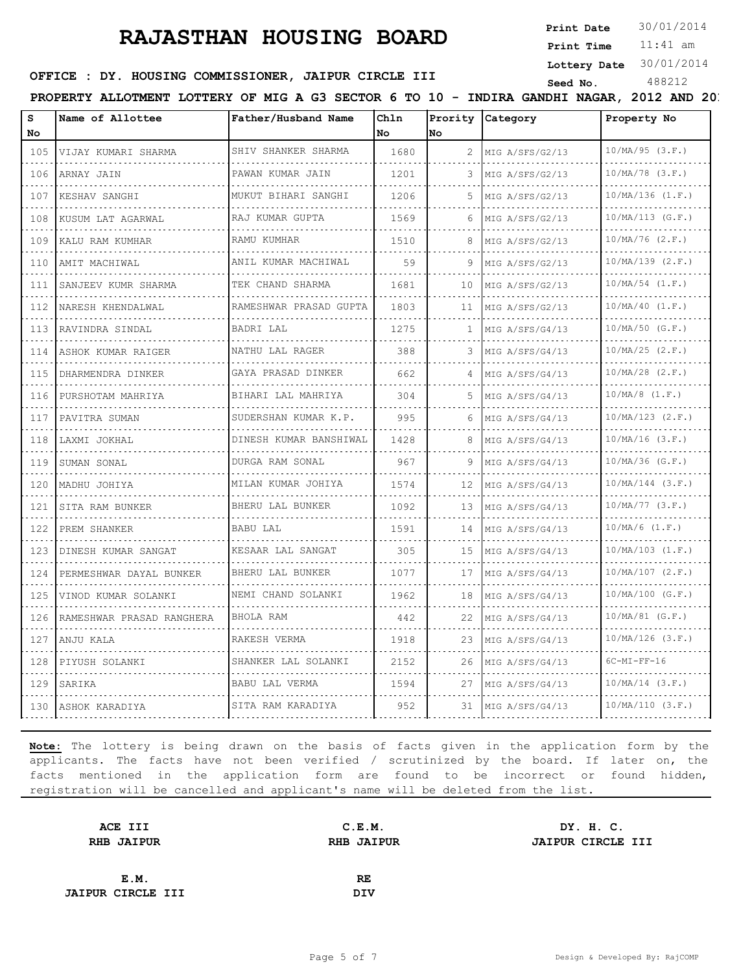**Print Date**  $30/01/2014$ 

11:41 am **Print Time Lottery Date** 30/01/2014

# **OFFICE : DY. HOUSING COMMISSIONER, JAIPUR CIRCLE III** Seed No. 488212

**PROPERTY ALLOTMENT LOTTERY OF MIG A G3 SECTOR 6 TO 10 - INDIRA GANDHI NAGAR, 2012 AND 2013** 

| s<br>No                                                                                                                                                              | Name of Allottee             | Father/Husband Name      | Chln<br>No | lNo          | Prority Category     | Property No            |
|----------------------------------------------------------------------------------------------------------------------------------------------------------------------|------------------------------|--------------------------|------------|--------------|----------------------|------------------------|
| 105                                                                                                                                                                  | VIJAY KUMARI SHARMA          | SHIV SHANKER SHARMA<br>. | 1680       | 2            | MIG A/SFS/G2/13<br>. | $10/MA/95$ (3.F.)<br>. |
| .<br>106                                                                                                                                                             | ARNAY JAIN                   | PAWAN KUMAR JAIN         | 1201       | 3            | MIG A/SFS/G2/13      | $10/MA/78$ (3.F.)      |
| 107                                                                                                                                                                  | KESHAV SANGHI                | MUKUT BIHARI SANGHI      | 1206       | 5.           | MIG A/SFS/G2/13      | $10/MA/136$ $(1.F.)$   |
| 108                                                                                                                                                                  | KUSUM LAT AGARWAL            | RAJ KUMAR GUPTA          | 1569       | 6            | MIG A/SFS/G2/13      | $10/MA/113$ (G.F.)     |
| 109                                                                                                                                                                  | KALU RAM KUMHAR              | .<br>RAMU KUMHAR         | 1510       | 8            | MIG A/SFS/G2/13      | $10/MA/76$ $(2.F.)$    |
| 110                                                                                                                                                                  | AMIT MACHIWAL                | ANIL KUMAR MACHIWAL      | 59         | 9            | MIG A/SFS/G2/13      | $10/MA/139$ $(2.F.)$   |
| 111                                                                                                                                                                  | SANJEEV KUMR SHARMA          | TEK CHAND SHARMA<br>.    | 1681       | 10           | MIG A/SFS/G2/13      | $10/MA/54$ $(1.F.)$    |
| $\mathcal{L}^{\mathcal{A}}\left( \mathcal{L}^{\mathcal{A}}\right) \mathcal{L}^{\mathcal{A}}\left( \mathcal{L}^{\mathcal{A}}\right) \mathcal{L}^{\mathcal{A}}$<br>112 | NARESH KHENDALWAL            | RAMESHWAR PRASAD GUPTA   | 1803       | 11           | MIG A/SFS/G2/13      | $10/MA/40$ $(1.F.)$    |
| 113                                                                                                                                                                  | RAVINDRA SINDAL              | BADRI LAL                | 1275       | $\mathbf{1}$ | MIG A/SFS/G4/13      | $10/MA/50$ (G.F.)      |
| 114                                                                                                                                                                  | ASHOK KUMAR RAIGER           | NATHU LAL RAGER          | 388        | 3            | MIG A/SFS/G4/13      | $10/MA/25$ $(2.F.)$    |
| 115                                                                                                                                                                  | DHARMENDRA DINKER            | GAYA PRASAD DINKER       | 662        | 4            | MIG A/SFS/G4/13      | $10/MA/28$ $(2.F.)$    |
| 116                                                                                                                                                                  | PURSHOTAM MAHRIYA            | BIHARI LAL MAHRIYA       | 304        | 5            | MIG A/SFS/G4/13      | $10/MA/8$ $(1.F.)$     |
| 117                                                                                                                                                                  | PAVITRA SUMAN                | SUDERSHAN KUMAR K.P.     | 995        | 6.           | MIG A/SFS/G4/13      | $10/MA/123$ $(2.F.)$   |
| 118                                                                                                                                                                  | LAXMI JOKHAL                 | DINESH KUMAR BANSHIWAL   | 1428       | 8            | MIG A/SFS/G4/13      | $10/MA/16$ (3.F.)      |
| 119                                                                                                                                                                  | SUMAN SONAL                  | DURGA RAM SONAL          | 967        | 9            | MIG A/SFS/G4/13      | $10/MA/36$ (G.F.)      |
| 120                                                                                                                                                                  | MADHU JOHIYA                 | MILAN KUMAR JOHIYA       | 1574       | 12           | MIG A/SFS/G4/13      | $10/MA/144$ (3.F.)     |
| 121                                                                                                                                                                  | SITA RAM BUNKER              | BHERU LAL BUNKER         | 1092       | 13           | MIG A/SFS/G4/13      | $10/MA/77$ (3.F.)      |
| 122                                                                                                                                                                  | PREM SHANKER                 | <b>BABU LAL</b>          | 1591       | 14           | MIG A/SFS/G4/13      | $10/MA/6$ $(1.F.)$     |
| 123                                                                                                                                                                  | DINESH KUMAR SANGAT          | KESAAR LAL SANGAT        | 305        | 15           | MIG A/SFS/G4/13      | $10/MA/103$ $(1.F.)$   |
| 124                                                                                                                                                                  | PERMESHWAR DAYAL BUNKER<br>. | BHERU LAL BUNKER         | 1077       | 17           | MIG A/SFS/G4/13      | $10/MA/107$ $(2.F.)$   |
| 125                                                                                                                                                                  | VINOD KUMAR SOLANKI          | NEMI CHAND SOLANKI       | 1962       | 18           | MIG A/SFS/G4/13      | $10/MA/100$ (G.F.)     |
| 126                                                                                                                                                                  | RAMESHWAR PRASAD RANGHERA    | BHOLA RAM                | 442        | 22           | MIG A/SFS/G4/13      | $10/MA/81$ (G.F.)      |
| 127                                                                                                                                                                  | ANJU KALA                    | RAKESH VERMA             | 1918       | 23           | MIG A/SFS/G4/13      | $10/MA/126$ (3.F.)     |
| 128                                                                                                                                                                  | PIYUSH SOLANKI               | SHANKER LAL SOLANKI      | 2152       | 26           | MIG A/SFS/G4/13      | $6C-MI-FF-16$          |
| 129                                                                                                                                                                  | SARIKA                       | BABU LAL VERMA           | 1594       | 27           | MIG A/SFS/G4/13      | $10/MA/14$ (3.F.)      |
| 130                                                                                                                                                                  | ASHOK KARADIYA               | SITA RAM KARADIYA        | 952        | 31           | MIG A/SFS/G4/13      | 10/MA/110 (3.F.)       |

| C.E.M.            | DY. H. C.         |
|-------------------|-------------------|
| <b>RHB JAIPUR</b> | JAIPUR CIRCLE III |
|                   |                   |
| RE                |                   |
| DIV               |                   |
|                   |                   |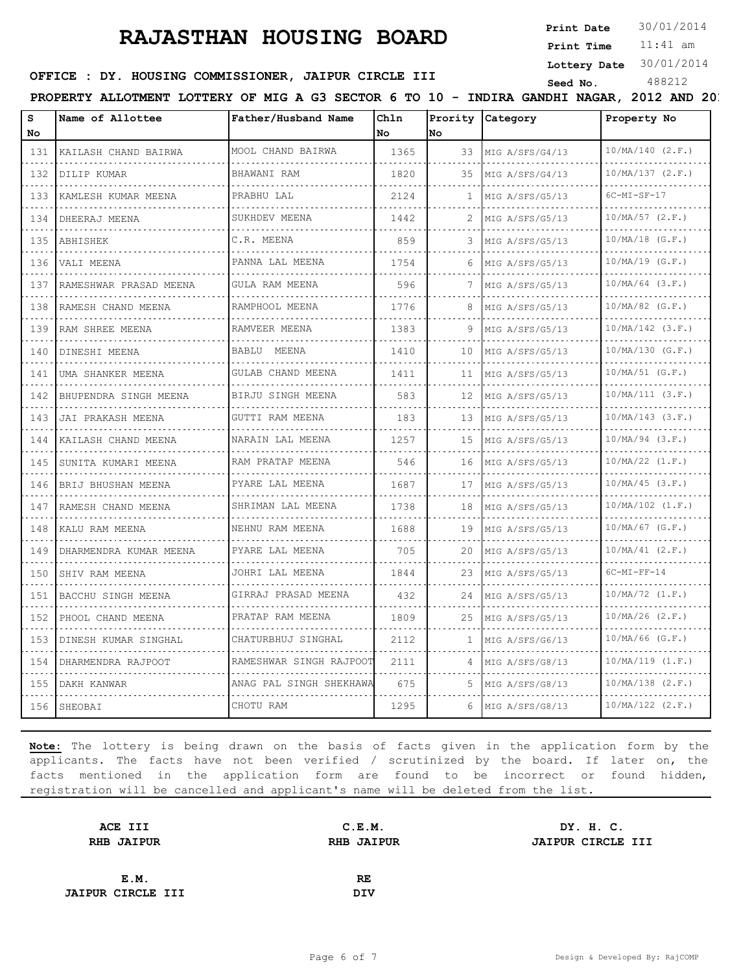**Print Date**  $30/01/2014$ 

11:41 am **Print Time Lottery Date** 30/01/2014

# **SEED OFFICE : DY. HOUSING COMMISSIONER, JAIPUR CIRCLE III** Seed No. 488212

**PROPERTY ALLOTMENT LOTTERY OF MIG A G3 SECTOR 6 TO 10 - INDIRA GANDHI NAGAR, 2012 AND 2013, JAIPUR**

| No<br>131<br>132<br>133<br>$\sim$ $\sim$ $\sim$ $\sim$<br>134                                                                              | KAILASH CHAND BAIRWA<br>DILIP KUMAR<br>KAMLESH KUMAR MEENA | MOOL CHAND BAIRWA<br>BHAWANI RAM | No.<br>1365 | lNo. |                 |                      |
|--------------------------------------------------------------------------------------------------------------------------------------------|------------------------------------------------------------|----------------------------------|-------------|------|-----------------|----------------------|
|                                                                                                                                            |                                                            |                                  |             |      |                 |                      |
|                                                                                                                                            |                                                            |                                  |             | 33   | MIG A/SFS/G4/13 | $10/MA/140$ $(2.F.)$ |
|                                                                                                                                            |                                                            | .                                | 1820        | 35   | MIG A/SFS/G4/13 | 10/MA/137 (2.F.)     |
|                                                                                                                                            |                                                            | PRABHU LAL                       | 2124        | 1    | MIG A/SFS/G5/13 | $6C-MI-SF-17$        |
|                                                                                                                                            | DHEERAJ MEENA                                              | SUKHDEV MEENA                    | 1442        | 2    | MIG A/SFS/G5/13 | $10/MA/57$ (2.F.)    |
| 135                                                                                                                                        | ABHISHEK                                                   | C.R. MEENA                       | 859         |      | MIG A/SFS/G5/13 | $10/MA/18$ (G.F.)    |
| 136                                                                                                                                        | VALI MEENA                                                 | .<br>PANNA LAL MEENA             | 1754        | 6    | MIG A/SFS/G5/13 | $10/MA/19$ (G.F.)    |
| $\mathcal{L}^{\mathcal{A}}\left( \mathcal{L}^{\mathcal{A}}\right) \mathcal{L}^{\mathcal{A}}\left( \mathcal{L}^{\mathcal{A}}\right)$<br>137 | RAMESHWAR PRASAD MEENA                                     | GULA RAM MEENA                   | 596         |      | MIG A/SFS/G5/13 | $10/MA/64$ (3.F.)    |
| $\sim$ $\sim$ $\sim$ $\sim$<br>138                                                                                                         | RAMESH CHAND MEENA<br>.                                    | RAMPHOOL MEENA<br>.              | 1776        | 8    | MIG A/SFS/G5/13 | $10/MA/82$ (G.F.)    |
| 139                                                                                                                                        | RAM SHREE MEENA                                            | RAMVEER MEENA                    | 1383        | 9    | MIG A/SFS/G5/13 | $10/MA/142$ (3.F.)   |
| $\sim$ $\sim$ $\sim$ $\sim$<br>140                                                                                                         | DINESHI MEENA                                              | BABLU MEENA                      | 1410        | 10   | MIG A/SFS/G5/13 | $10/MA/130$ (G.F.)   |
| $\sim$ $\sim$ $\sim$ $\sim$<br>141                                                                                                         | UMA SHANKER MEENA                                          | GULAB CHAND MEENA<br>.           | 1411        | 11   | MIG A/SFS/G5/13 | $10/MA/51$ (G.F.)    |
| 142                                                                                                                                        | BHUPENDRA SINGH MEENA                                      | BIRJU SINGH MEENA                | 583         | 12   | MIG A/SFS/G5/13 | 10/MA/111 (3.F.)     |
| $\sim$ $\sim$ $\sim$ $\sim$<br>143                                                                                                         | JAI PRAKASH MEENA                                          | GUTTI RAM MEENA                  | 183         | 13   | MIG A/SFS/G5/13 | $10/MA/143$ (3.F.)   |
| $\sim$ $\sim$ $\sim$ $\sim$<br>144                                                                                                         | KAILASH CHAND MEENA                                        | NARAIN LAL MEENA<br>.            | 1257        | 15   | MIG A/SFS/G5/13 | $10/MA/94$ (3.F.)    |
| 145                                                                                                                                        | SUNITA KUMARI MEENA                                        | RAM PRATAP MEENA                 | 546         | 16   | MIG A/SFS/G5/13 | $10/MA/22$ $(1.F.)$  |
| $\frac{1}{2} \left( \frac{1}{2} \right) \left( \frac{1}{2} \right) \left( \frac{1}{2} \right) \left( \frac{1}{2} \right)$<br>146           | BRIJ BHUSHAN MEENA                                         | PYARE LAL MEENA                  | 1687        | 17   | MIG A/SFS/G5/13 | $10/MA/45$ (3.F.)    |
| $\frac{1}{2} \left( \frac{1}{2} \right) \left( \frac{1}{2} \right) \left( \frac{1}{2} \right) \left( \frac{1}{2} \right)$<br>147           | RAMESH CHAND MEENA                                         | SHRIMAN LAL MEENA<br>.           | 1738        | 18   | MIG A/SFS/G5/13 | $10/MA/102$ $(1.F.)$ |
| 148                                                                                                                                        | KALU RAM MEENA                                             | NEHNU RAM MEENA                  | 1688        | 19   | MIG A/SFS/G5/13 | $10/MA/67$ (G.F.)    |
| 149                                                                                                                                        | DHARMENDRA KUMAR MEENA                                     | PYARE LAL MEENA<br>.             | 705         | 20   | MIG A/SFS/G5/13 | $10/MA/41$ (2.F.)    |
| $\frac{1}{2} \left( \frac{1}{2} \right) \left( \frac{1}{2} \right) \left( \frac{1}{2} \right) \left( \frac{1}{2} \right)$<br>150           | SHIV RAM MEENA                                             | JOHRI LAL MEENA                  | 1844        | 23   | MIG A/SFS/G5/13 | $6C-MI-FF-14$        |
| 151                                                                                                                                        | BACCHU SINGH MEENA                                         | GIRRAJ PRASAD MEENA              | 432         | 24   | MIG A/SFS/G5/13 | $10/MA/72$ $(1.F.)$  |
| $\sim$ $\sim$ $\sim$ $\sim$<br>152                                                                                                         | PHOOL CHAND MEENA                                          | PRATAP RAM MEENA                 | 1809        | 25   | MIG A/SFS/G5/13 | $10/MA/26$ $(2.F.)$  |
| $\frac{1}{2} \left( \frac{1}{2} \right) \left( \frac{1}{2} \right) \left( \frac{1}{2} \right) \left( \frac{1}{2} \right)$<br>153           | DINESH KUMAR SINGHAL                                       | CHATURBHUJ SINGHAL               | 2112        | л.   | MIG A/SFS/G6/13 | $10/MA/66$ (G.F.)    |
| 154                                                                                                                                        | DHARMENDRA RAJPOOT                                         | RAMESHWAR SINGH RAJPOOT          | 2111        | 4    | MIG A/SFS/G8/13 | 10/MA/119 (1.F.)     |
| 155                                                                                                                                        | DAKH KANWAR                                                | ANAG PAL SINGH SHEKHAWA          | 675         | 5.   | MIG A/SFS/G8/13 | $10/MA/138$ $(2.F.)$ |
| 156                                                                                                                                        | SHEOBAI                                                    | CHOTU RAM                        | 1295        | 6    | MIG A/SFS/G8/13 | $10/MA/122$ $(2.F.)$ |

| ACE III                  | C.E.M.            | DY. H. C.                |
|--------------------------|-------------------|--------------------------|
| <b>RHB JAIPUR</b>        | <b>RHB JAIPUR</b> | <b>JAIPUR CIRCLE III</b> |
|                          |                   |                          |
| E.M.                     | RE                |                          |
| <b>JAIPUR CIRCLE III</b> | <b>DIV</b>        |                          |